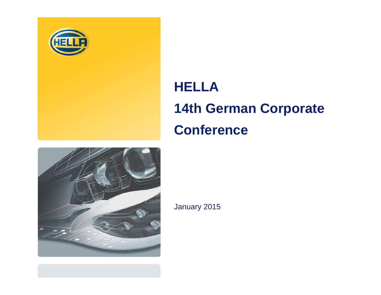

# **HELLA 14th German Corporate Conference**



January 2015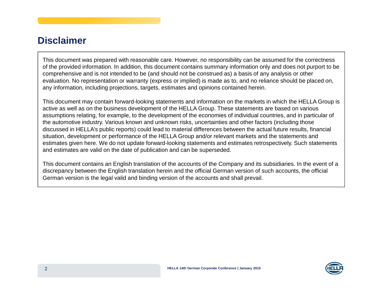### **Disclaimer**

This document was prepared with reasonable care. However, no responsibility can be assumed for the correctness of the provided information. In addition, this document contains summary information only and does not purport to be comprehensive and is not intended to be (and should not be construed as) <sup>a</sup> basis of any analysis or other evaluation. No representation or warranty (express or implied) is made as to, and no reliance should be placed on, any information, including projections, targets, estimates and opinions contained herein.

This document may contain forward-looking statements and information on the markets in which the HELLA Group is active as well as on the business development of the HELLA Group. These statements are based on various assumptions relating, for example, to the development of the economies of individual countries, and in particular of the automotive industry. Various known and unknown risks, uncertainties and other factors (including those discussed in HELLA's public reports) could lead to material differences between the actual future results, financial situation, development or performance of the HELLA Group and/or relevant markets and the statements and estimates given here. We do not update forward-looking statements and estimates retrospectively. Such statements and estimates are valid on the date of publication and can be superseded.

This document contains an English translation of the accounts of the Company and its subsidiaries. In the event of <sup>a</sup> discrepancy between the English translation herein and the official German version of such accounts, the official German version is the legal valid and binding version of the accounts and shall prevail.

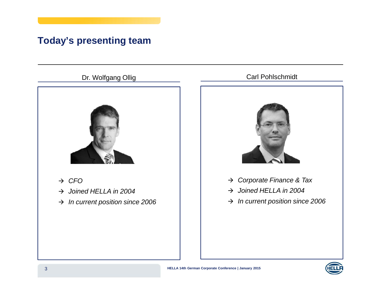# **Today's presenting team**

### Dr. Wolfgang Ollig



- $\rightarrow$  CFO
- $\rightarrow$  Joined HELLA in 2004
- $\rightarrow$  In current position since 2006

### Carl Pohlschmidt



- $\rightarrow$  Corporate Finance & Tax
- $\rightarrow$  Joined HELLA in 2004
- $\rightarrow$  In current position since 2006

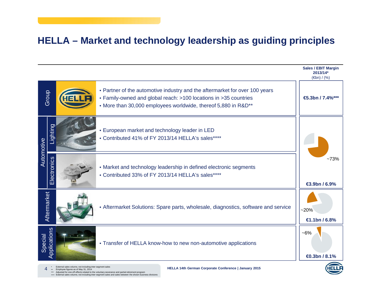### **HELLA – Market and technology leadership as guiding principles**

|                                        |              |  |                                                                                                                                                                                                                   | <b>Sales / EBIT Margin</b><br>2013/14*<br>$(\oplus n) / (\%)$ |
|----------------------------------------|--------------|--|-------------------------------------------------------------------------------------------------------------------------------------------------------------------------------------------------------------------|---------------------------------------------------------------|
| Group                                  |              |  | • Partner of the automotive industry and the aftermarket for over 100 years<br>• Family-owned and global reach: >100 locations in >35 countries<br>• More than 30,000 employees worldwide, thereof 5,880 in R&D** | <b>€5.3bn</b> / 7.4%***                                       |
| Automotive                             | Lighting     |  | • European market and technology leader in LED<br>• Contributed 41% of FY 2013/14 HELLA's sales****                                                                                                               |                                                               |
|                                        | Electronics  |  | • Market and technology leadership in defined electronic segments<br>• Contributed 33% of FY 2013/14 HELLA's sales****                                                                                            | $-73%$<br><b>€3.9bn / 6.9%</b>                                |
| Aftermarket                            |              |  | • Aftermarket Solutions: Spare parts, wholesale, diagnostics, software and service                                                                                                                                | $-20%$<br>€1.1bn / 6.8%                                       |
| Special                                | Applications |  | • Transfer of HELLA know-how to new non-automotive applications                                                                                                                                                   | $-6%$<br><b><i><u></u></i></b> <del>a</del> .3bn / 8.1%       |
| les volume, not including inter-segmen |              |  |                                                                                                                                                                                                                   |                                                               |

<sup>\*</sup> External sales volume, not including inter-segment sales<br>
<sup>\*</sup> Employee figures as of May 31, 2014

Adjusted for one-off-effects related to the voluntary severance and partial retirement program External sales volume, not including inter-segment sales and sales between the shown business divisions \*\*\* \*\*\*\*

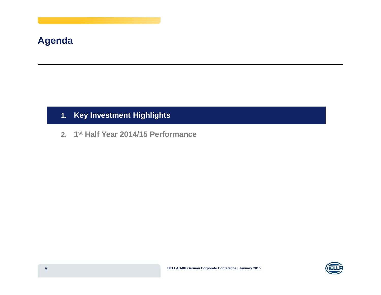### **Agenda**

### **1. Key Investment Highlights**

**2. 1st Half Year 2014/15 Performance**

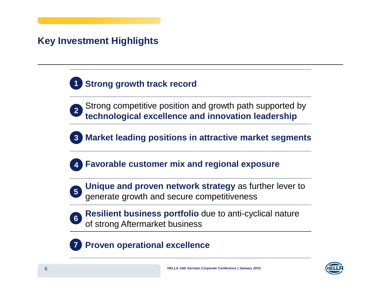# **Key Investment Highlights**



- **2** Strong competitive position and growth path supported by **technological excellence and innovation leadership**
- **3Market leading positions in attractive market segments**
- **4Favorable customer mix and regional exposure**
- - **Unique and proven network strategy** as further lever to generate growth and secure competitiveness **<sup>5</sup>**
- 
- **Resilient business portfolio** due to anti-cyclical nature of strong Aftermarket business **<sup>6</sup>**

#### **7Proven operational excellence**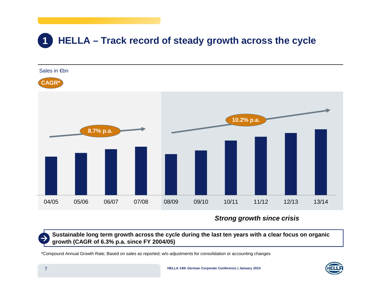#### **1HELLA – Track record of steady growth across the cycle**



**Strong growth since crisis**

Sustainable long term growth across the cycle during the last ten years with a clear focus on organic **growth (CAGR of 6.3% p.a. since FY 2004/05)**

\*Compound Annual Growth Rate; Based on sales as reported; w/o adjustments for consolidation or accounting changes

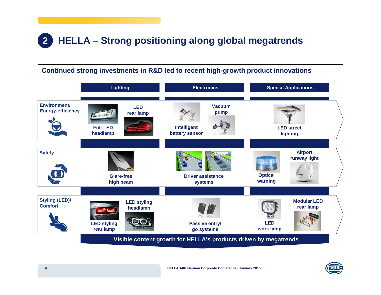#### **2HELLA – Strong positioning along global megatrends**

#### **Continued strong investments in R&D led to recent high-growth product innovations**



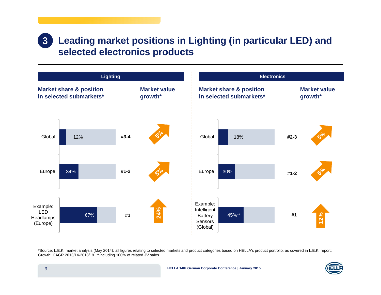#### **Leading market positions in Lighting (in particular LED) and selected electronics products 3**



\*Source: L.E.K. market analysis (May 2014); all figures relating to selected markets and product categories based on HELLA's product portfolio, as covered in L.E.K. report; Growth: CAGR 2013/14-2018/19 \*\*Including 100% of related JV sales

**HELLA 14th German Corporate Conference | January 2015**

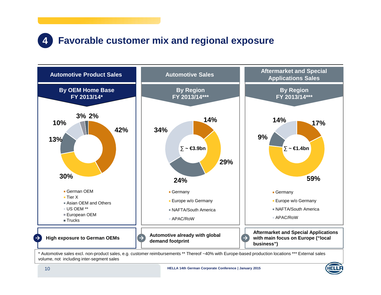#### **4Favorable customer mix and regional exposure**



\* Automotive sales excl. non-product sales, e.g. customer reimbursements \*\* Thereof ~40% with Europe-based production locations \*\*\* External sales volume, not including inter-segment sales

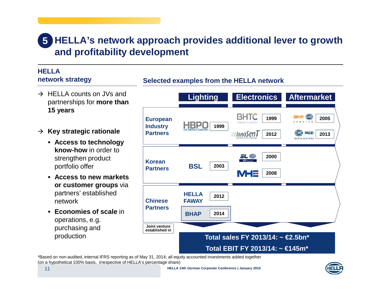# **HELLA's network approach provides additional lever to growth 5 and profitability development**

**Selected examples from the HELLA network**

#### **HELLAnetwork strategy**

- $\rightarrow$  HELLA counts on JVs and partnerships for **more than 15 years**
- **Key strategic rationale**
	- **Access to technology know-how** in order to strengthen product portfolio offer
	- **Access to new markets or customer groups** via partners' established network
	- **Economies of scale** in operations, e.g. purchasing and production



\*Based on non-audited, internal IFRS reporting as of May 31, 2014; all equity accounted investments added together (on <sup>a</sup> hypothetical 100% basis, irrespective of HELLA's percentage share)

**HELLA 14th German Corporate Conference | January 2015**

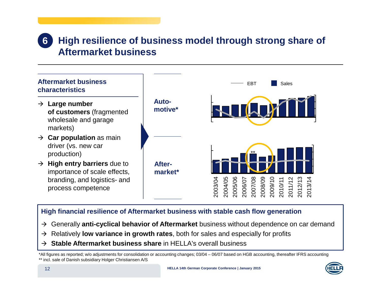#### **High resilience of business model through strong share of Aftermarket business6**



#### **High financial resilience of Aftermarket business with stable cash flow generation**

- Generally **anti-cyclical behavior of Aftermarket** business without dependence on car demand
- Relatively **low variance in growth rates**, both for sales and especially for profits
- **Stable Aftermarket business share** in HELLA's overall business

\*All figures as reported; w/o adjustments for consolidation or accounting changes; 03/04 – 06/07 based on HGB accounting, thereafter IFRS accounting \*\* incl. sale of Danish subsidiary Holger Christiansen A/S

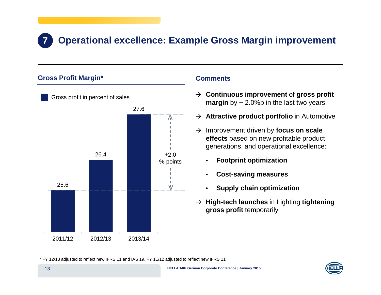# **Operational excellence: Example Gross Margin improvement**

#### **Gross Profit Margin\***

**7**



#### **Comments**

- **Continuous improvement** of **gross profit margin** by ~ 2.0%p in the last two years
- **Attractive product portfolio** in Automotive
- → Improvement driven by **focus on scale effects** based on new profitable product generations, and operational excellence:
	- •**Footprint optimization**
	- •**Cost-saving measures**
	- •**Supply chain optimization**
- **High-tech launches** in Lighting **tightening gross profit** temporarily

\* FY 12/13 adjusted to reflect new IFRS 11 and IAS 19, FY 11/12 adjusted to reflect new IFRS 11

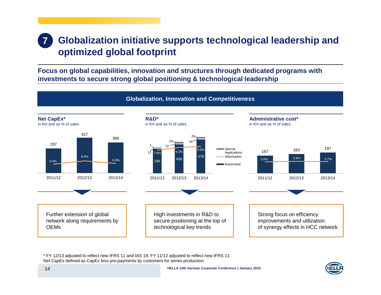#### **7 Globalization initiative supports technological leadership and optimized global footprint**

**Focus on global capabilities, innovation and structures through dedicated programs with investments to secure strong global positioning & technological leadership**



\* FY 12/13 adjusted to reflect new IFRS 11 and IAS 19, FY 11/12 adjusted to reflect new IFRS 11 Net CapEx defined as CapEx less pre-payments by customers for series production

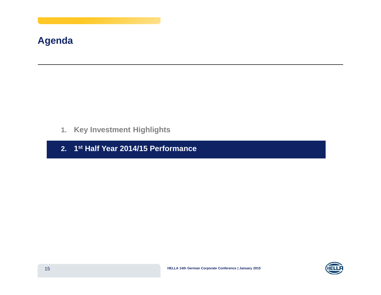# **Agenda**

- **1. Key Investment Highlights**
- **2. 1st Half Year 2014/15 Performance**

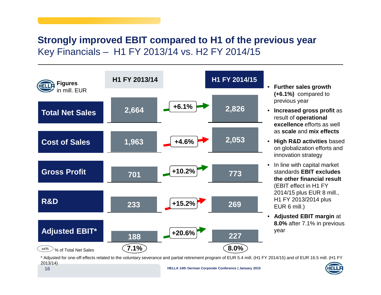## **Strongly improved EBIT compared to H1 of the previous year** Key Financials – H1 FY 2013/14 vs. H2 FY 2014/15



- • **Further sales growth (+6.1%)** compared to previous year
- **Increased gross profit** as result of **operational excellence** efforts as well as **scale** and **mix effects**
- **High R&D activities** based on globalization efforts and innovation strategy
- $\bullet$  $\bullet~$  In line with capital market standards **EBIT excludes the other financial result** (EBIT effect in H1 FY 2014/15 plus EUR 8 mill., H1 FY 2013/2014 plus EUR 6 mill.)
- **Adjusted EBIT margin** at **8.0%** after 7.1% in previous year

\* Adjusted for one-off effects related to the voluntary severance and partial retirement program of EUR 5.4 mill. (H1 FY 2014/15) and of EUR 16.5 mill. (H1 FY 2013/14)

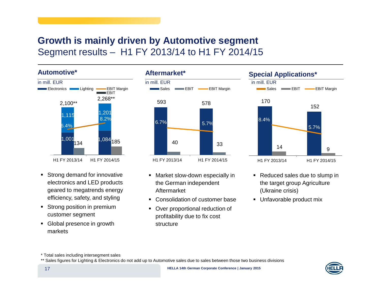### **Growth is mainly driven by Automotive segment** Segment results – H1 FY 2013/14 to H1 FY 2014/15

#### **Automotive\***



- **Strong demand for innovative** electronics and LED products geared to megatrends energy efficiency, safety, and styling
- **-** Strong position in premium customer segment
- Global presence in growth markets



- Market slow-down especially in the German independent Aftermarket
- Consolidation of customer base
- **Over proportional reduction of** profitability due to fix cost structure



- Reduced sales due to slump in the target group Agriculture (Ukraine crisis)
- Unfavorable product mix



<sup>\*</sup> Total sales including intersegment sales

<sup>\*\*</sup> Sales figures for Lighting & Electronics do not add up to Automotive sales due to sales between those two business divisions